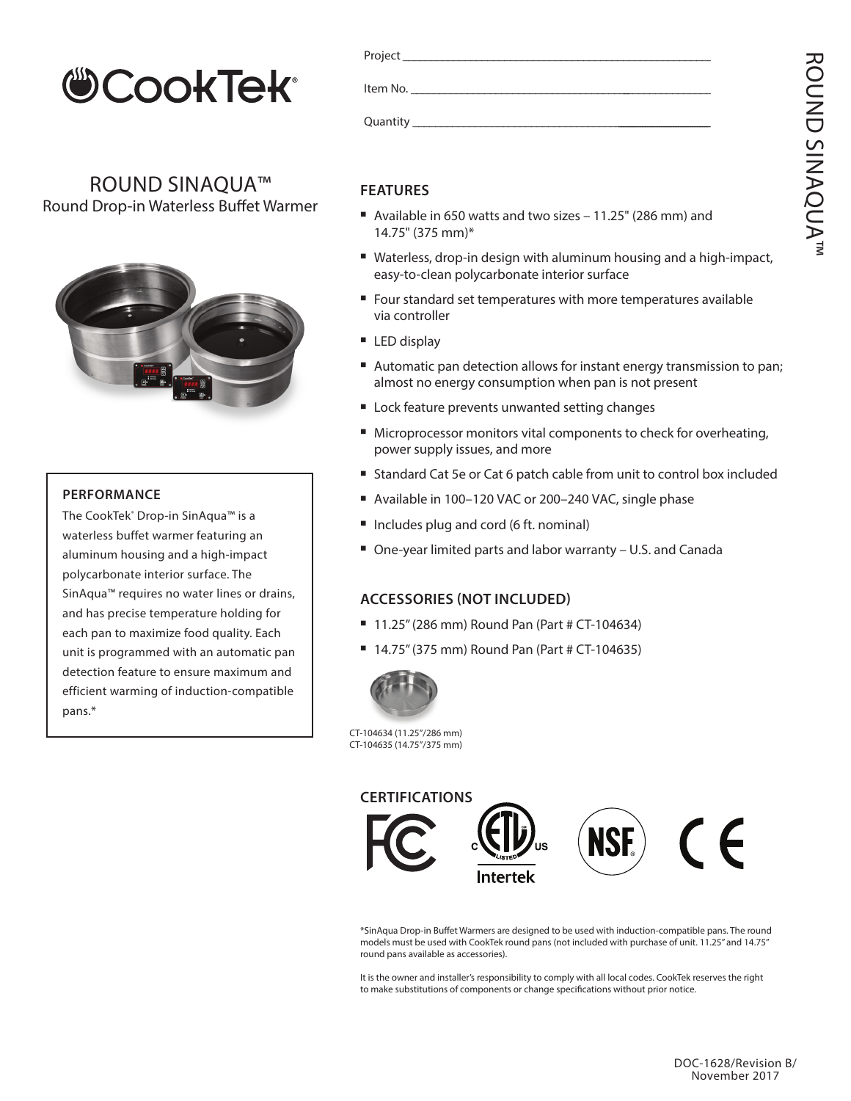

ROUND SINAQUA™ Round Drop-in Waterless Buffet Warmer



## **PERFORMANCE**

The CookTek<sup>®</sup> Drop-in SinAqua™ is a waterless buffet warmer featuring an aluminum housing and a high-impact polycarbonate interior surface. The SinAqua™ requires no water lines or drains, and has precise temperature holding for each pan to maximize food quality. Each unit is programmed with an automatic pan detection feature to ensure maximum and efficient warming of induction-compatible pans.\*

| Project <b>Example 2018</b> |  |
|-----------------------------|--|
| Item No.                    |  |
| Quantity Quantity           |  |

## **FEATURES**

- Available in 650 watts and two sizes  $-11.25$ " (286 mm) and 14.75" (375 mm)\*
- Waterless, drop-in design with aluminum housing and a high-impact, easy-to-clean polycarbonate interior surface
- Four standard set temperatures with more temperatures available via controller
- $\blacksquare$  LED display
- Automatic pan detection allows for instant energy transmission to pan; almost no energy consumption when pan is not present
- Lock feature prevents unwanted setting changes
- Microprocessor monitors vital components to check for overheating, power supply issues, and more
- Standard Cat 5e or Cat 6 patch cable from unit to control box included
- Available in 100-120 VAC or 200-240 VAC, single phase
- Includes plug and cord (6 ft. nominal)
- One-year limited parts and labor warranty U.S. and Canada

## **ACCESSORIES (NOT INCLUDED)**

- $\blacksquare$  11.25" (286 mm) Round Pan (Part # CT-104634)
- 14.75" (375 mm) Round Pan (Part # CT-104635)



CT-104634 (11.25"/286 mm) CT-104635 (14.75"/375 mm)



\*SinAqua Drop-in Buffet Warmers are designed to be used with induction-compatible pans. The round models must be used with CookTek round pans (not included with purchase of unit. 11.25" and 14.75" round pans available as accessories).

It is the owner and installer's responsibility to comply with all local codes. CookTek reserves the right to make substitutions of components or change specifications without prior notice.